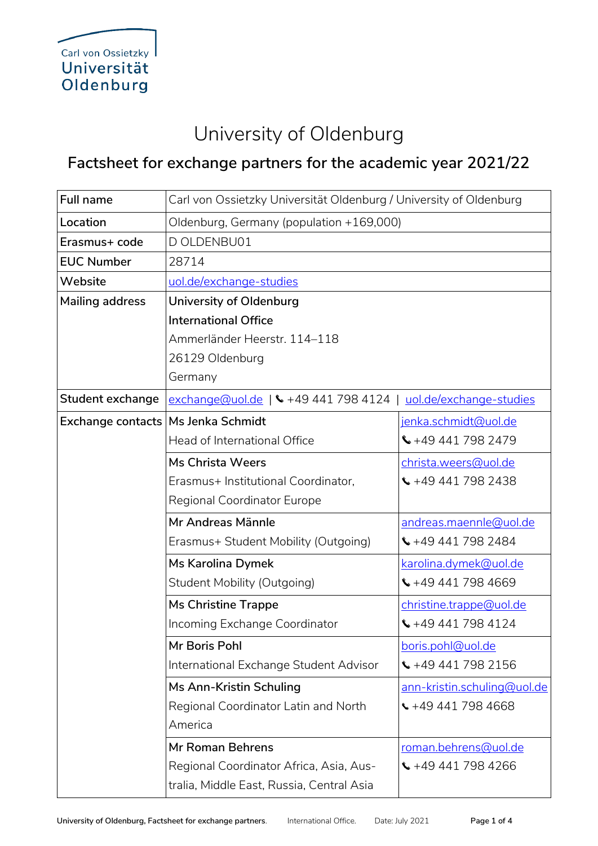## University of Oldenburg

## **Factsheet for exchange partners for the academic year 2021/22**

| <b>Full name</b>       | Carl von Ossietzky Universität Oldenburg / University of Oldenburg |                                 |  |
|------------------------|--------------------------------------------------------------------|---------------------------------|--|
| Location               | Oldenburg, Germany (population +169,000)                           |                                 |  |
| Erasmus+ code          | D OLDENBU01                                                        |                                 |  |
| <b>EUC Number</b>      | 28714                                                              |                                 |  |
| Website                | uol.de/exchange-studies                                            |                                 |  |
| <b>Mailing address</b> | University of Oldenburg                                            |                                 |  |
|                        | <b>International Office</b>                                        |                                 |  |
|                        | Ammerländer Heerstr. 114-118                                       |                                 |  |
|                        | 26129 Oldenburg                                                    |                                 |  |
|                        | Germany                                                            |                                 |  |
| Student exchange       | exchange@uol.de   \ +49 441 798 4124   uol.de/exchange-studies     |                                 |  |
| Exchange contacts      | <b>Ms Jenka Schmidt</b>                                            | jenka.schmidt@uol.de            |  |
|                        | Head of International Office                                       | $\leftarrow$ +49 441 798 2479   |  |
|                        | <b>Ms Christa Weers</b>                                            | christa.weers@uol.de            |  |
|                        | Erasmus+ Institutional Coordinator,                                | $\binom{1}{2}$ +49 441 798 2438 |  |
|                        | Regional Coordinator Europe                                        |                                 |  |
|                        | Mr Andreas Männle                                                  | andreas.maennle@uol.de          |  |
|                        | Erasmus+ Student Mobility (Outgoing)                               | $\binom{4494417982484}{$        |  |
|                        | Ms Karolina Dymek                                                  | karolina.dymek@uol.de           |  |
|                        | <b>Student Mobility (Outgoing)</b>                                 | $\binom{1}{2}$ +49 441 798 4669 |  |
|                        | <b>Ms Christine Trappe</b>                                         | christine.trappe@uol.de         |  |
|                        | Incoming Exchange Coordinator                                      | $\binom{4494417984124}{$        |  |
|                        | Mr Boris Pohl                                                      | boris.pohl@uol.de               |  |
|                        | International Exchange Student Advisor                             | $\binom{1}{2}$ +49 441 798 2156 |  |
|                        | Ms Ann-Kristin Schuling                                            | ann-kristin.schuling@uol.de     |  |
|                        | Regional Coordinator Latin and North                               | $\leftarrow$ +49 441 798 4668   |  |
|                        | America                                                            |                                 |  |
|                        | <b>Mr Roman Behrens</b>                                            | roman.behrens@uol.de            |  |
|                        | Regional Coordinator Africa, Asia, Aus-                            | $\binom{4494417984266}{$        |  |
|                        | tralia, Middle East, Russia, Central Asia                          |                                 |  |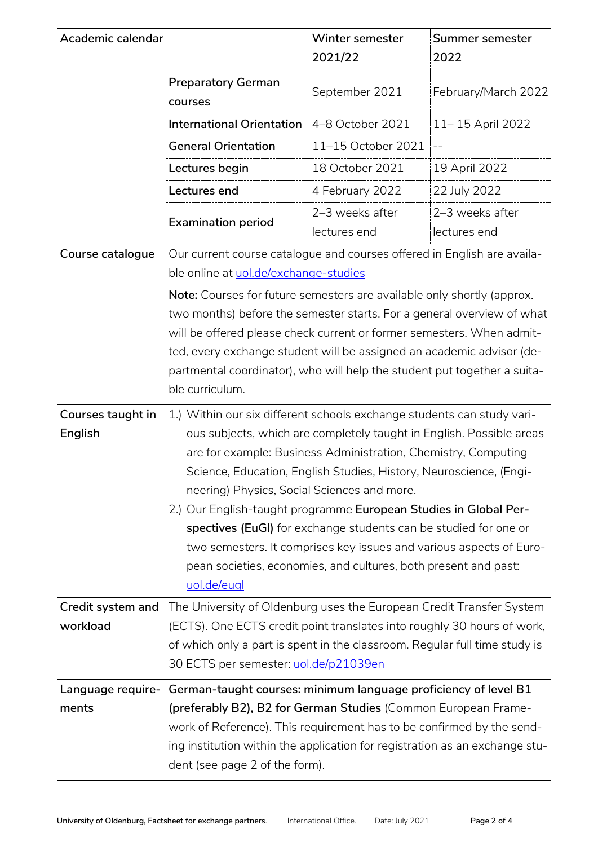| Academic calendar             |                                                                                                                                                                                                                                                                                                                                                                                                                                                                                                                                                                                                                                        | Winter semester<br>2021/22      | Summer semester<br>2022         |
|-------------------------------|----------------------------------------------------------------------------------------------------------------------------------------------------------------------------------------------------------------------------------------------------------------------------------------------------------------------------------------------------------------------------------------------------------------------------------------------------------------------------------------------------------------------------------------------------------------------------------------------------------------------------------------|---------------------------------|---------------------------------|
|                               | <b>Preparatory German</b><br>courses                                                                                                                                                                                                                                                                                                                                                                                                                                                                                                                                                                                                   | September 2021                  | February/March 2022             |
|                               | <b>International Orientation</b>                                                                                                                                                                                                                                                                                                                                                                                                                                                                                                                                                                                                       | 4-8 October 2021                | 11-15 April 2022                |
|                               | <b>General Orientation</b>                                                                                                                                                                                                                                                                                                                                                                                                                                                                                                                                                                                                             | 11-15 October 2021              |                                 |
|                               | Lectures begin                                                                                                                                                                                                                                                                                                                                                                                                                                                                                                                                                                                                                         | 18 October 2021                 | 19 April 2022                   |
|                               | Lectures end                                                                                                                                                                                                                                                                                                                                                                                                                                                                                                                                                                                                                           | 4 February 2022                 | 22 July 2022                    |
|                               | <b>Examination period</b>                                                                                                                                                                                                                                                                                                                                                                                                                                                                                                                                                                                                              | 2-3 weeks after<br>lectures end | 2-3 weeks after<br>lectures end |
| Course catalogue              | Our current course catalogue and courses offered in English are availa-<br>ble online at uol.de/exchange-studies<br>Note: Courses for future semesters are available only shortly (approx.<br>two months) before the semester starts. For a general overview of what<br>will be offered please check current or former semesters. When admit-<br>ted, every exchange student will be assigned an academic advisor (de-<br>partmental coordinator), who will help the student put together a suita-<br>ble curriculum.                                                                                                                  |                                 |                                 |
|                               |                                                                                                                                                                                                                                                                                                                                                                                                                                                                                                                                                                                                                                        |                                 |                                 |
| Courses taught in<br>English  | 1.) Within our six different schools exchange students can study vari-<br>ous subjects, which are completely taught in English. Possible areas<br>are for example: Business Administration, Chemistry, Computing<br>Science, Education, English Studies, History, Neuroscience, (Engi-<br>neering) Physics, Social Sciences and more.<br>2.) Our English-taught programme European Studies in Global Per-<br>spectives (EuGI) for exchange students can be studied for one or<br>two semesters. It comprises key issues and various aspects of Euro-<br>pean societies, economies, and cultures, both present and past:<br>uol.de/eugl |                                 |                                 |
| Credit system and<br>workload | The University of Oldenburg uses the European Credit Transfer System<br>(ECTS). One ECTS credit point translates into roughly 30 hours of work,<br>of which only a part is spent in the classroom. Regular full time study is<br>30 ECTS per semester: <u>uol.de/p21039en</u>                                                                                                                                                                                                                                                                                                                                                          |                                 |                                 |
| Language require-<br>ments    | German-taught courses: minimum language proficiency of level B1<br>(preferably B2), B2 for German Studies (Common European Frame-<br>work of Reference). This requirement has to be confirmed by the send-<br>ing institution within the application for registration as an exchange stu-<br>dent (see page 2 of the form).                                                                                                                                                                                                                                                                                                            |                                 |                                 |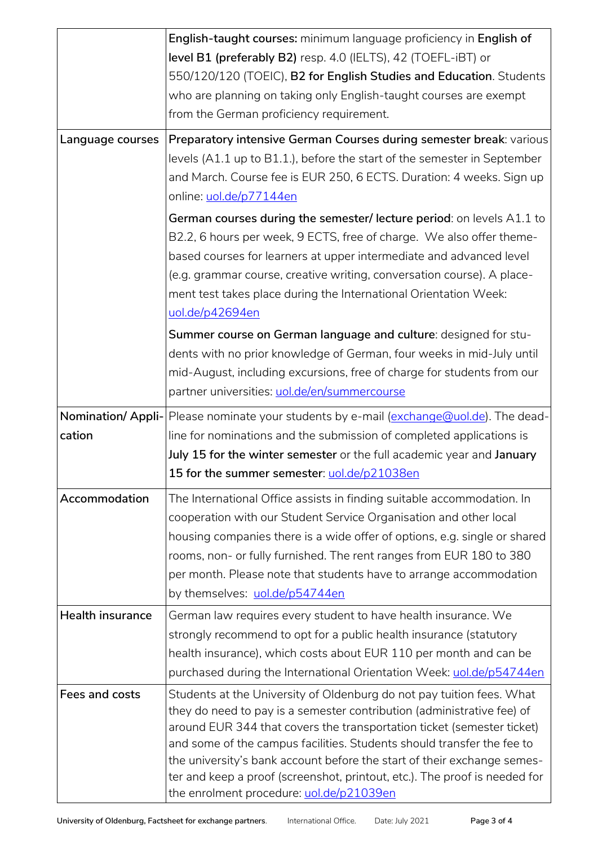| Language courses        | English-taught courses: minimum language proficiency in English of<br>level B1 (preferably B2) resp. 4.0 (IELTS), 42 (TOEFL-iBT) or<br>550/120/120 (TOEIC), B2 for English Studies and Education. Students<br>who are planning on taking only English-taught courses are exempt<br>from the German proficiency requirement.<br>Preparatory intensive German Courses during semester break: various<br>levels (A1.1 up to B1.1.), before the start of the semester in September<br>and March. Course fee is EUR 250, 6 ECTS. Duration: 4 weeks. Sign up<br>online: uol.de/p77144en |  |
|-------------------------|-----------------------------------------------------------------------------------------------------------------------------------------------------------------------------------------------------------------------------------------------------------------------------------------------------------------------------------------------------------------------------------------------------------------------------------------------------------------------------------------------------------------------------------------------------------------------------------|--|
|                         | German courses during the semester/lecture period: on levels A1.1 to<br>B2.2, 6 hours per week, 9 ECTS, free of charge. We also offer theme-<br>based courses for learners at upper intermediate and advanced level<br>(e.g. grammar course, creative writing, conversation course). A place-<br>ment test takes place during the International Orientation Week:<br>uol.de/p42694en                                                                                                                                                                                              |  |
|                         | Summer course on German language and culture: designed for stu-<br>dents with no prior knowledge of German, four weeks in mid-July until<br>mid-August, including excursions, free of charge for students from our<br>partner universities: uol.de/en/summercourse                                                                                                                                                                                                                                                                                                                |  |
| cation                  | Nomination/ Appli- Please nominate your students by e-mail (exchange@uol.de). The dead-<br>line for nominations and the submission of completed applications is<br>July 15 for the winter semester or the full academic year and January<br>15 for the summer semester: uol.de/p21038en                                                                                                                                                                                                                                                                                           |  |
| Accommodation           | The International Office assists in finding suitable accommodation. In<br>cooperation with our Student Service Organisation and other local<br>housing companies there is a wide offer of options, e.g. single or shared<br>rooms, non- or fully furnished. The rent ranges from EUR 180 to 380<br>per month. Please note that students have to arrange accommodation<br>by themselves: uol.de/p54744en                                                                                                                                                                           |  |
| <b>Health insurance</b> | German law requires every student to have health insurance. We<br>strongly recommend to opt for a public health insurance (statutory<br>health insurance), which costs about EUR 110 per month and can be<br>purchased during the International Orientation Week: uol.de/p54744en                                                                                                                                                                                                                                                                                                 |  |
| Fees and costs          | Students at the University of Oldenburg do not pay tuition fees. What<br>they do need to pay is a semester contribution (administrative fee) of<br>around EUR 344 that covers the transportation ticket (semester ticket)<br>and some of the campus facilities. Students should transfer the fee to<br>the university's bank account before the start of their exchange semes-<br>ter and keep a proof (screenshot, printout, etc.). The proof is needed for<br>the enrolment procedure: uol.de/p21039en                                                                          |  |